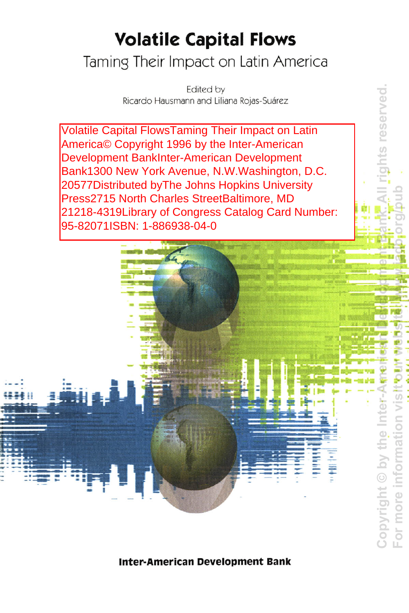## **Volatile Capital Flows**

## Taming Their Impact on Latin America

Edited by Ricardo Hausmann and Liliana Rojas-Suárez

**S reserved** 

**Volatile Capital FlowsTaming Their Impact on Latin** America© Copyright 1996 by the Inter-American Development BankInter-American Development Bank1300 New York Avenue, N.W. Washington, D.C. 20577Distributed by The Johns Hopkins University Press2715 North Charles StreetBaltimore, MD 21218-4319Library of Congress Catalog Card Number: 95-82071ISBN: 1-886938-04-0



**Inter-American Development Bank**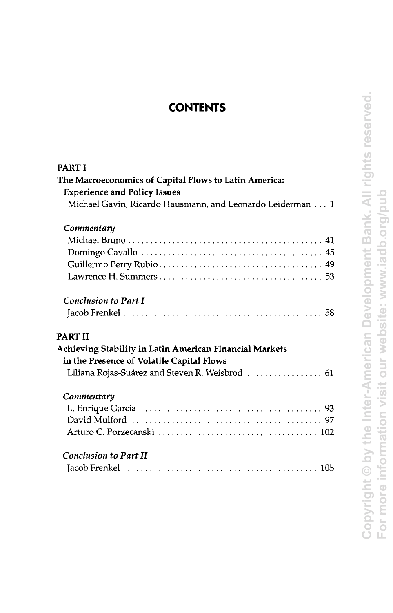## **CONTENTS**

<span id="page-1-0"></span>

| PART I<br>The Macroeconomics of Capital Flows to Latin America:<br><b>Experience and Policy Issues</b><br>Michael Gavin, Ricardo Hausmann, and Leonardo Leiderman 1 |
|---------------------------------------------------------------------------------------------------------------------------------------------------------------------|
| Commentary                                                                                                                                                          |
| <b>Conclusion to Part I</b><br>PART II                                                                                                                              |
| Achieving Stability in Latin American Financial Markets<br>in the Presence of Volatile Capital Flows<br>Liliana Rojas-Suárez and Steven R. Weisbrod  61             |
| Commentary                                                                                                                                                          |
| <b>Conclusion to Part II</b>                                                                                                                                        |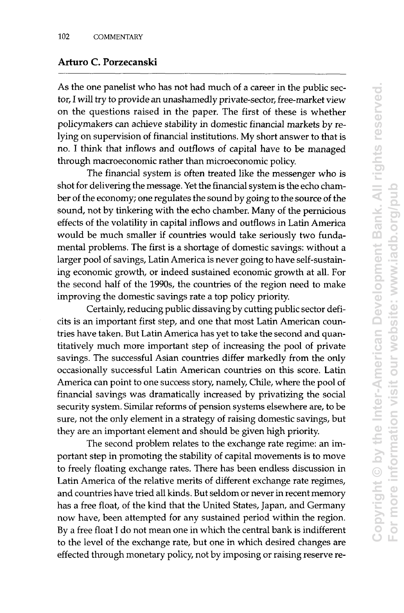## <span id="page-2-0"></span>**[Arturo C. Porzecanski](#page-1-0)**

As the one panelist who has not had much of a career in the public sector, I will try to provide an unashamedly private-sector, free-market view on the questions raised in the paper. The first of these is whether policymakers can achieve stability in domestic financial markets by relying on supervision of financial institutions. My short answer to that is no. I think that inflows and outflows of capital have to be managed through macroeconomic rather than microeconomic policy.

The financial system is often treated like the messenger who is shot for delivering the message. Yet the financial system is the echo chamber of the economy; one regulates the sound by going to the source of the sound, not by tinkering with the echo chamber. Many of the pernicious effects of the volatility in capital inflows and outflows in Latin America would be much smaller if countries would take seriously two fundamental problems. The first is a shortage of domestic savings: without a larger pool of savings, Latin America is never going to have self-sustaining economic growth, or indeed sustained economic growth at all. For the second half of the 1990s, the countries of the region need to make improving the domestic savings rate a top policy priority.

Certainly, reducing public dissaving by cutting public sector deficits is an important first step, and one that most Latin American countries have taken. But Latin America has yet to take the second and quantitatively much more important step of increasing the pool of private savings. The successful Asian countries differ markedly from the only occasionally successful Latin American countries on this score. Latin America can point to one success story, namely, Chile, where the pool of financial savings was dramatically increased by privatizing the social security system. Similar reforms of pension systems elsewhere are, to be sure, not the only element in a strategy of raising domestic savings, but they are an important element and should be given high priority.

The second problem relates to the exchange rate regime: an important step in promoting the stability of capital movements is to move to freely floating exchange rates. There has been endless discussion in Latin America of the relative merits of different exchange rate regimes, and countries have tried all kinds. But seldom or never in recent memory has a free float, of the kind that the United States, Japan, and Germany now have, been attempted for any sustained period within the region. By a free float I do not mean one in which the central bank is indifferent to the level of the exchange rate, but one in which desired changes are effected through monetary policy, not by imposing or raising reserve re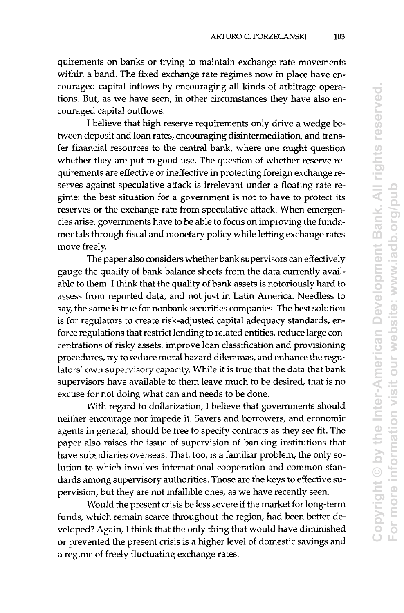quirements on banks or trying to maintain exchange rate movements within a band. The fixed exchange rate regimes now in place have encouraged capital inflows by encouraging all kinds of arbitrage operations. But, as we have seen, in other circumstances they have also encouraged capital outflows.

I believe that high reserve requirements only drive a wedge between deposit and loan rates, encouraging disintermediation, and transfer financial resources to the central bank, where one might question whether they are put to good use. The question of whether reserve requirements are effective or ineffective in protecting foreign exchange reserves against speculative attack is irrelevant under a floating rate regime: the best situation for a government is not to have to protect its reserves or the exchange rate from speculative attack. When emergencies arise, governments have to be able to focus on improving the fundamentals through fiscal and monetary policy while letting exchange rates move freely.

The paper also considers whether bank supervisors can effectively gauge the quality of bank balance sheets from the data currently available to them. I think that the quality of bank assets is notoriously hard to assess from reported data, and not just in Latin America. Needless to say, the same is true for nonbank securities companies. The best solution is for regulators to create risk-adjusted capital adequacy standards, enforce regulations that restrict lending to related entities, reduce large concentrations of risky assets, improve loan classification and provisioning procedures, try to reduce moral hazard dilemmas, and enhance the regulators' own supervisory capacity. While it is true that the data that bank supervisors have available to them leave much to be desired, that is no excuse for not doing what can and needs to be done.

With regard to dollarization, I believe that governments should neither encourage nor impede it. Savers and borrowers, and economic agents in general, should be free to specify contracts as they see fit. The paper also raises the issue of supervision of banking institutions that have subsidiaries overseas. That, too, is a familiar problem, the only solution to which involves international cooperation and common standards among supervisory authorities. Those are the keys to effective supervision, but they are not infallible ones, as we have recently seen.

Would the present crisis be less severe if the market for long-term funds, which remain scarce throughout the region, had been better developed? Again, I think that the only thing that would have diminished or prevented the present crisis is a higher level of domestic savings and a regime of freely fluctuating exchange rates.